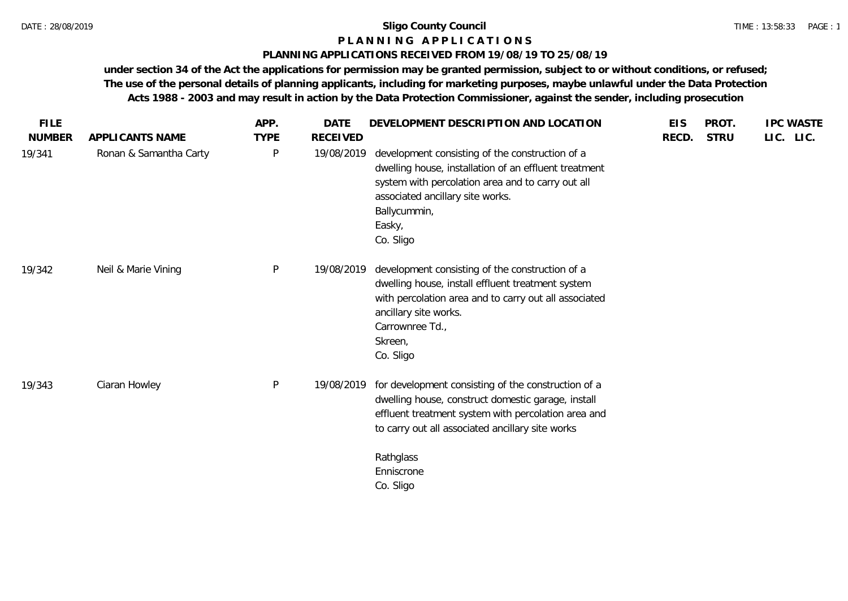#### TIME : 13:58:33 PAGE : 1

## **P L A N N I N G A P P L I C A T I O N S**

### **PLANNING APPLICATIONS RECEIVED FROM 19/08/19 TO 25/08/19**

| APPLICANTS NAME<br>Ronan & Samantha Carty | <b>TYPE</b><br>P | <b>RECEIVED</b> |                                                                                                                                                                                                                                                 | RECD.                   |             |           |
|-------------------------------------------|------------------|-----------------|-------------------------------------------------------------------------------------------------------------------------------------------------------------------------------------------------------------------------------------------------|-------------------------|-------------|-----------|
|                                           |                  |                 |                                                                                                                                                                                                                                                 |                         | <b>STRU</b> | LIC. LIC. |
|                                           |                  | 19/08/2019      | development consisting of the construction of a<br>dwelling house, installation of an effluent treatment<br>system with percolation area and to carry out all<br>associated ancillary site works.<br>Ballycummin,<br>Easky,<br>Co. Sligo        |                         |             |           |
| Neil & Marie Vining                       | P                |                 | development consisting of the construction of a<br>dwelling house, install effluent treatment system<br>with percolation area and to carry out all associated<br>ancillary site works.<br>Carrownree Td.,<br>Skreen,<br>Co. Sligo               |                         |             |           |
| Ciaran Howley                             | P                | 19/08/2019      | for development consisting of the construction of a<br>dwelling house, construct domestic garage, install<br>effluent treatment system with percolation area and<br>to carry out all associated ancillary site works<br>Rathglass<br>Enniscrone |                         |             |           |
|                                           |                  |                 |                                                                                                                                                                                                                                                 | 19/08/2019<br>Co. Sligo |             |           |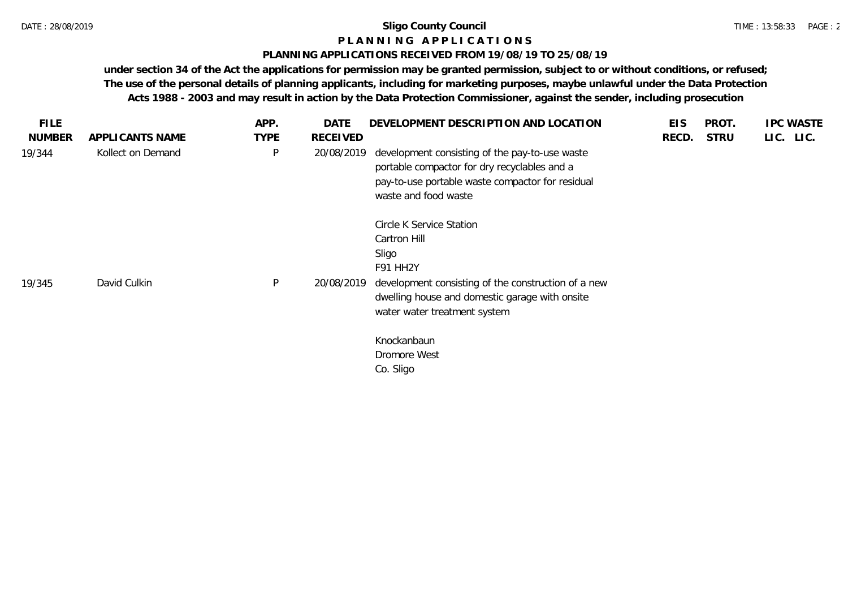#### **P L A N N I N G A P P L I C A T I O N S**

#### **PLANNING APPLICATIONS RECEIVED FROM 19/08/19 TO 25/08/19**

| APPLICANTS NAME   |             |                 |                                                                                                                                                                                                        |                          |             |           |
|-------------------|-------------|-----------------|--------------------------------------------------------------------------------------------------------------------------------------------------------------------------------------------------------|--------------------------|-------------|-----------|
|                   | <b>TYPE</b> | <b>RECEIVED</b> |                                                                                                                                                                                                        | RECD.                    | <b>STRU</b> | LIC. LIC. |
| Kollect on Demand | P           |                 | development consisting of the pay-to-use waste<br>portable compactor for dry recyclables and a<br>pay-to-use portable waste compactor for residual<br>waste and food waste                             |                          |             |           |
| David Culkin      | P           |                 | Circle K Service Station<br>Cartron Hill<br>Sligo<br>F91 HH2Y<br>development consisting of the construction of a new<br>dwelling house and domestic garage with onsite<br>water water treatment system |                          |             |           |
|                   |             |                 | Knockanbaun<br>Dromore West<br>Co. Sligo                                                                                                                                                               |                          |             |           |
|                   |             |                 |                                                                                                                                                                                                        | 20/08/2019<br>20/08/2019 |             |           |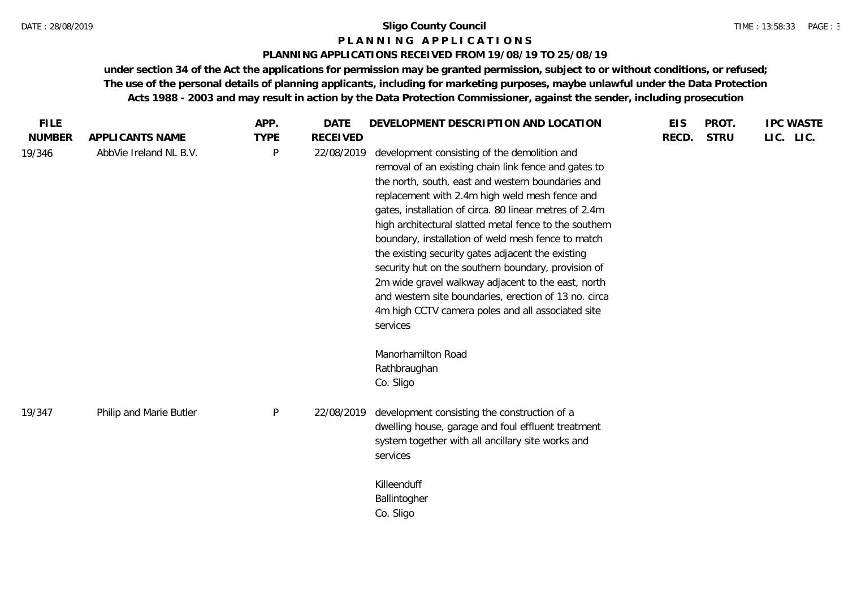#### **P L A N N I N G A P P L I C A T I O N S**

#### **PLANNING APPLICATIONS RECEIVED FROM 19/08/19 TO 25/08/19**

| <b>FILE</b>   |                         | APP.         | <b>DATE</b>     | DEVELOPMENT DESCRIPTION AND LOCATION                                                                                                                                                                                                                                                                                                                                                                                                                                                                                                                                                                                                                                              | <b>EIS</b> | PROT.       | <b>IPC WASTE</b> |
|---------------|-------------------------|--------------|-----------------|-----------------------------------------------------------------------------------------------------------------------------------------------------------------------------------------------------------------------------------------------------------------------------------------------------------------------------------------------------------------------------------------------------------------------------------------------------------------------------------------------------------------------------------------------------------------------------------------------------------------------------------------------------------------------------------|------------|-------------|------------------|
| <b>NUMBER</b> | APPLICANTS NAME         | <b>TYPE</b>  | <b>RECEIVED</b> |                                                                                                                                                                                                                                                                                                                                                                                                                                                                                                                                                                                                                                                                                   | RECD.      | <b>STRU</b> | LIC. LIC.        |
| 19/346        | AbbVie Ireland NL B.V.  | P            | 22/08/2019      | development consisting of the demolition and<br>removal of an existing chain link fence and gates to<br>the north, south, east and western boundaries and<br>replacement with 2.4m high weld mesh fence and<br>gates, installation of circa. 80 linear metres of 2.4m<br>high architectural slatted metal fence to the southern<br>boundary, installation of weld mesh fence to match<br>the existing security gates adjacent the existing<br>security hut on the southern boundary, provision of<br>2m wide gravel walkway adjacent to the east, north<br>and western site boundaries, erection of 13 no. circa<br>4m high CCTV camera poles and all associated site<br>services |            |             |                  |
| 19/347        | Philip and Marie Butler | $\mathsf{P}$ | 22/08/2019      | Manorhamilton Road<br>Rathbraughan<br>Co. Sligo<br>development consisting the construction of a<br>dwelling house, garage and foul effluent treatment                                                                                                                                                                                                                                                                                                                                                                                                                                                                                                                             |            |             |                  |
|               |                         |              |                 | system together with all ancillary site works and<br>services                                                                                                                                                                                                                                                                                                                                                                                                                                                                                                                                                                                                                     |            |             |                  |
|               |                         |              |                 | Killeenduff<br>Ballintogher<br>Co. Sligo                                                                                                                                                                                                                                                                                                                                                                                                                                                                                                                                                                                                                                          |            |             |                  |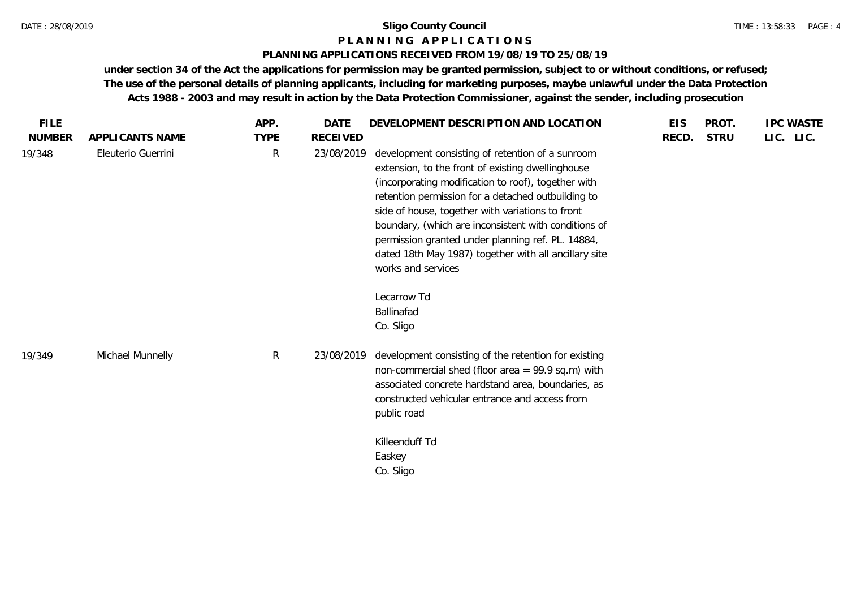#### TIME : 13:58:33 PAGE : 4

### **P L A N N I N G A P P L I C A T I O N S**

#### **PLANNING APPLICATIONS RECEIVED FROM 19/08/19 TO 25/08/19**

| <b>FILE</b>   |                    | APP.        | <b>DATE</b>     | DEVELOPMENT DESCRIPTION AND LOCATION                                                                                                                                                                                                                                                                                                                                                                                                                                                                         | <b>EIS</b> | PROT.       | <b>IPC WASTE</b> |
|---------------|--------------------|-------------|-----------------|--------------------------------------------------------------------------------------------------------------------------------------------------------------------------------------------------------------------------------------------------------------------------------------------------------------------------------------------------------------------------------------------------------------------------------------------------------------------------------------------------------------|------------|-------------|------------------|
| <b>NUMBER</b> | APPLICANTS NAME    | <b>TYPE</b> | <b>RECEIVED</b> |                                                                                                                                                                                                                                                                                                                                                                                                                                                                                                              | RECD.      | <b>STRU</b> | LIC. LIC.        |
| 19/348        | Eleuterio Guerrini | R           | 23/08/2019      | development consisting of retention of a sunroom<br>extension, to the front of existing dwellinghouse<br>(incorporating modification to roof), together with<br>retention permission for a detached outbuilding to<br>side of house, together with variations to front<br>boundary, (which are inconsistent with conditions of<br>permission granted under planning ref. PL. 14884,<br>dated 18th May 1987) together with all ancillary site<br>works and services<br>Lecarrow Td<br>Ballinafad<br>Co. Sligo |            |             |                  |
| 19/349        | Michael Munnelly   | R           | 23/08/2019      | development consisting of the retention for existing<br>non-commercial shed (floor area = $99.9$ sq.m) with<br>associated concrete hardstand area, boundaries, as<br>constructed vehicular entrance and access from<br>public road<br>Killeenduff Td<br>Easkey<br>Co. Sligo                                                                                                                                                                                                                                  |            |             |                  |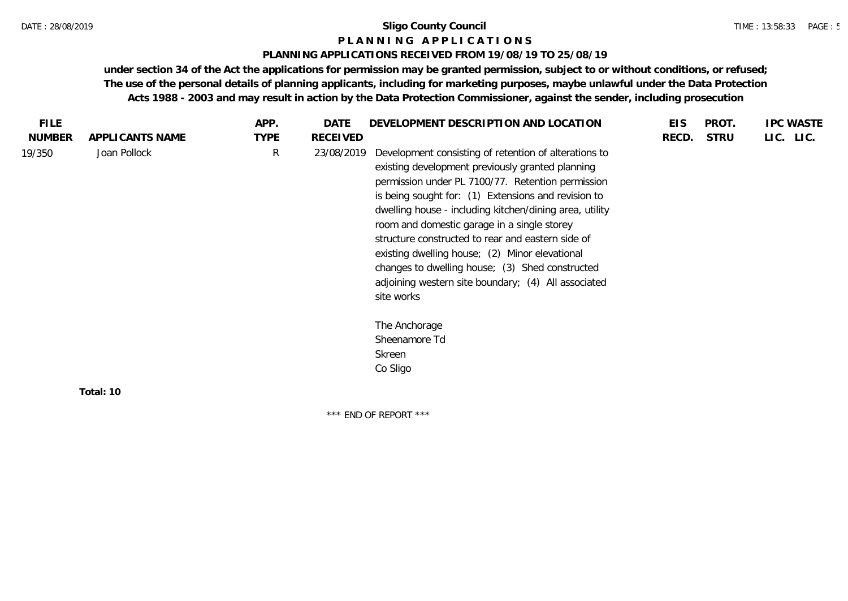#### **P L A N N I N G A P P L I C A T I O N S**

#### **PLANNING APPLICATIONS RECEIVED FROM 19/08/19 TO 25/08/19**

**under section 34 of the Act the applications for permission may be granted permission, subject to or without conditions, or refused; The use of the personal details of planning applicants, including for marketing purposes, maybe unlawful under the Data Protection Acts 1988 - 2003 and may result in action by the Data Protection Commissioner, against the sender, including prosecution**

\*\*\* END OF REPORT \*\*\*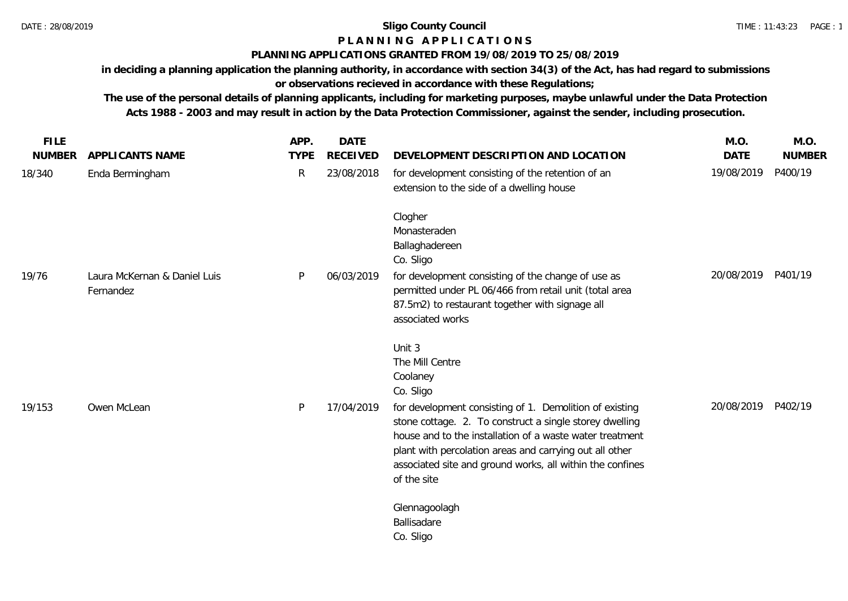### **P L A N N I N G A P P L I C A T I O N S**

## **PLANNING APPLICATIONS GRANTED FROM 19/08/2019 TO 25/08/2019**

**in deciding a planning application the planning authority, in accordance with section 34(3) of the Act, has had regard to submissions or observations recieved in accordance with these Regulations;**

**The use of the personal details of planning applicants, including for marketing purposes, maybe unlawful under the Data Protection Acts 1988 - 2003 and may result in action by the Data Protection Commissioner, against the sender, including prosecution.**

| <b>FILE</b>   |                                           | APP.         | <b>DATE</b>     |                                                                                                                                                                                                                                                                                                                       | M.O.        | M.O.          |
|---------------|-------------------------------------------|--------------|-----------------|-----------------------------------------------------------------------------------------------------------------------------------------------------------------------------------------------------------------------------------------------------------------------------------------------------------------------|-------------|---------------|
| <b>NUMBER</b> | APPLICANTS NAME                           | <b>TYPE</b>  | <b>RECEIVED</b> | DEVELOPMENT DESCRIPTION AND LOCATION                                                                                                                                                                                                                                                                                  | <b>DATE</b> | <b>NUMBER</b> |
| 18/340        | Enda Bermingham                           | $\mathsf{R}$ | 23/08/2018      | for development consisting of the retention of an<br>extension to the side of a dwelling house                                                                                                                                                                                                                        | 19/08/2019  | P400/19       |
|               |                                           |              |                 | Clogher<br>Monasteraden<br>Ballaghadereen<br>Co. Sligo                                                                                                                                                                                                                                                                |             |               |
| 19/76         | Laura McKernan & Daniel Luis<br>Fernandez | P            | 06/03/2019      | for development consisting of the change of use as<br>permitted under PL 06/466 from retail unit (total area<br>87.5m2) to restaurant together with signage all<br>associated works                                                                                                                                   | 20/08/2019  | P401/19       |
|               |                                           |              |                 | Unit 3<br>The Mill Centre<br>Coolaney<br>Co. Sligo                                                                                                                                                                                                                                                                    |             |               |
| 19/153        | Owen McLean                               | P            | 17/04/2019      | for development consisting of 1. Demolition of existing<br>stone cottage. 2. To construct a single storey dwelling<br>house and to the installation of a waste water treatment<br>plant with percolation areas and carrying out all other<br>associated site and ground works, all within the confines<br>of the site | 20/08/2019  | P402/19       |
|               |                                           |              |                 | Glennagoolagh<br>Ballisadare<br>Co. Sligo                                                                                                                                                                                                                                                                             |             |               |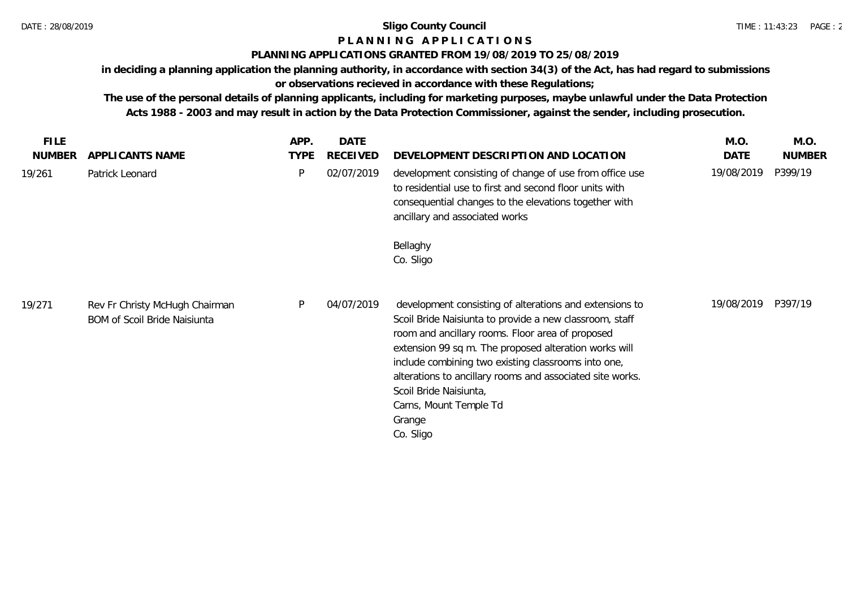# **P L A N N I N G A P P L I C A T I O N S**

## **PLANNING APPLICATIONS GRANTED FROM 19/08/2019 TO 25/08/2019**

**in deciding a planning application the planning authority, in accordance with section 34(3) of the Act, has had regard to submissions or observations recieved in accordance with these Regulations;**

**The use of the personal details of planning applicants, including for marketing purposes, maybe unlawful under the Data Protection Acts 1988 - 2003 and may result in action by the Data Protection Commissioner, against the sender, including prosecution.**

| <b>FILE</b><br><b>NUMBER</b> | APPLICANTS NAME                                                       | APP.<br><b>TYPE</b> | <b>DATE</b><br><b>RECEIVED</b> | DEVELOPMENT DESCRIPTION AND LOCATION                                                                                                                                                                                                                                                                                                                                                                                           | M.O.<br>DATE | M.O.<br><b>NUMBER</b> |
|------------------------------|-----------------------------------------------------------------------|---------------------|--------------------------------|--------------------------------------------------------------------------------------------------------------------------------------------------------------------------------------------------------------------------------------------------------------------------------------------------------------------------------------------------------------------------------------------------------------------------------|--------------|-----------------------|
| 19/261                       | Patrick Leonard                                                       | P                   | 02/07/2019                     | development consisting of change of use from office use<br>to residential use to first and second floor units with<br>consequential changes to the elevations together with<br>ancillary and associated works                                                                                                                                                                                                                  | 19/08/2019   | P399/19               |
|                              |                                                                       |                     |                                | Bellaghy<br>Co. Sligo                                                                                                                                                                                                                                                                                                                                                                                                          |              |                       |
| 19/271                       | Rev Fr Christy McHugh Chairman<br><b>BOM of Scoil Bride Naisiunta</b> | P                   | 04/07/2019                     | development consisting of alterations and extensions to<br>Scoil Bride Naisiunta to provide a new classroom, staff<br>room and ancillary rooms. Floor area of proposed<br>extension 99 sq m. The proposed alteration works will<br>include combining two existing classrooms into one,<br>alterations to ancillary rooms and associated site works.<br>Scoil Bride Naisiunta,<br>Carns, Mount Temple Td<br>Grange<br>Co. Sligo | 19/08/2019   | P397/19               |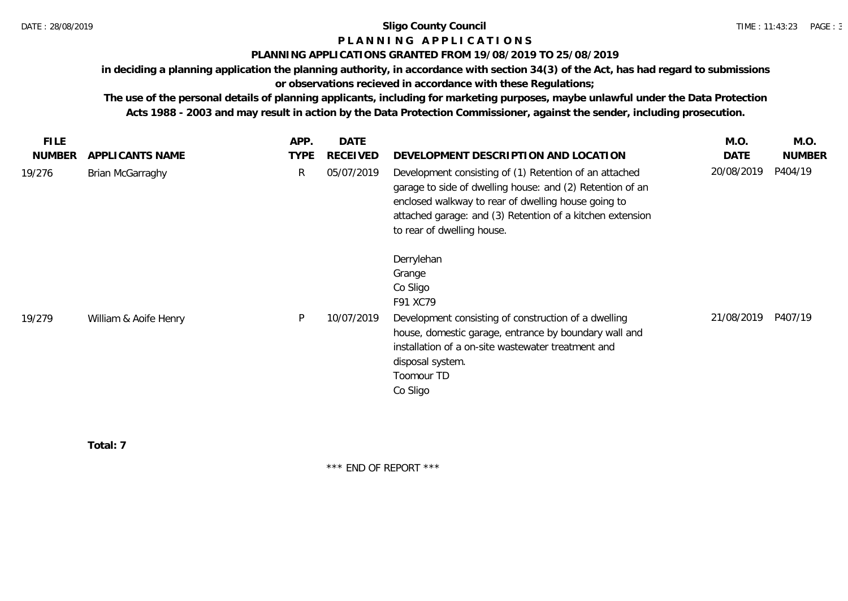## **P L A N N I N G A P P L I C A T I O N S**

#### **PLANNING APPLICATIONS GRANTED FROM 19/08/2019 TO 25/08/2019**

**in deciding a planning application the planning authority, in accordance with section 34(3) of the Act, has had regard to submissions** 

## **or observations recieved in accordance with these Regulations;**

**The use of the personal details of planning applicants, including for marketing purposes, maybe unlawful under the Data Protection Acts 1988 - 2003 and may result in action by the Data Protection Commissioner, against the sender, including prosecution.**

| FILE.         |                       | APP.        | <b>DATE</b> |                                                                                                                                                                                                                                                                       | M.O.        | M.O.          |
|---------------|-----------------------|-------------|-------------|-----------------------------------------------------------------------------------------------------------------------------------------------------------------------------------------------------------------------------------------------------------------------|-------------|---------------|
| <b>NUMBER</b> | APPLICANTS NAME       | <b>TYPE</b> | RECEIVED    | DEVELOPMENT DESCRIPTION AND LOCATION                                                                                                                                                                                                                                  | <b>DATE</b> | <b>NUMBER</b> |
| 19/276        | Brian McGarraghy      | R.          | 05/07/2019  | Development consisting of (1) Retention of an attached<br>garage to side of dwelling house: and (2) Retention of an<br>enclosed walkway to rear of dwelling house going to<br>attached garage: and (3) Retention of a kitchen extension<br>to rear of dwelling house. | 20/08/2019  | P404/19       |
| 19/279        | William & Aoife Henry | P           | 10/07/2019  | Derrylehan<br>Grange<br>Co Sligo<br>F91 XC79<br>Development consisting of construction of a dwelling<br>house, domestic garage, entrance by boundary wall and<br>installation of a on-site wastewater treatment and<br>disposal system.<br>Toomour TD<br>Co Sligo     | 21/08/2019  | P407/19       |

**Total: 7**

\*\*\* END OF REPORT \*\*\*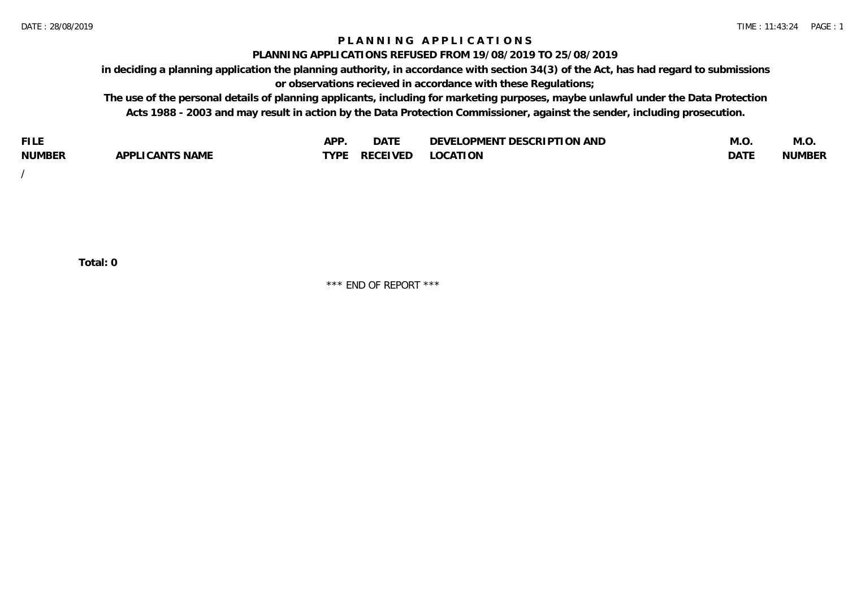## **P L A N N I N G A P P L I C A T I O N S**

#### **PLANNING APPLICATIONS REFUSED FROM 19/08/2019 TO 25/08/2019**

**in deciding a planning application the planning authority, in accordance with section 34(3) of the Act, has had regard to submissions or observations recieved in accordance with these Regulations;**

**The use of the personal details of planning applicants, including for marketing purposes, maybe unlawful under the Data Protection Acts 1988 - 2003 and may result in action by the Data Protection Commissioner, against the sender, including prosecution.**

| <b>FILE</b>   |                                                     | A DE | $\sim$ $\sim$ $\sim$<br>DA I | <b>ENT DESCRIPTION AND</b><br>$\cap$ nn.<br>)E\/F<br>. JIEN L<br>பட | IVI.U       | IVI.U         |
|---------------|-----------------------------------------------------|------|------------------------------|---------------------------------------------------------------------|-------------|---------------|
| <b>NUMBER</b> | <b>ANTS NAME</b><br>A DDI<br>$\sqrt{2}$<br>CAN<br>u | TVDL | ◡⊢                           | <b>OCATION</b>                                                      | <b>DATF</b> | <b>NUMBER</b> |

/

**Total: 0**

\*\*\* END OF REPORT \*\*\*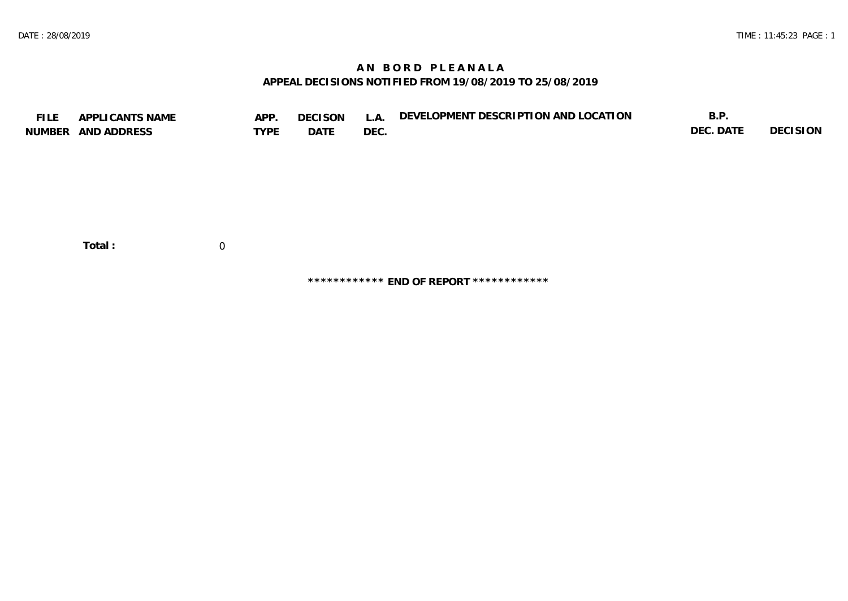## **A N B O R D P L E A N A L A APPEAL DECISIONS NOTIFIED FROM 19/08/2019 TO 25/08/2019**

| <b>FILE</b> | APPLICANTS NAME<br>NUMBER AND ADDRESS | APP.<br><b>TYPE</b> | <b>DECISON</b><br>DATE | L.A.<br>DEC. | DEVELOPMENT DESCRIPTION AND LOCATION | B.P.<br>DEC. DATE | <b>DECISION</b> |
|-------------|---------------------------------------|---------------------|------------------------|--------------|--------------------------------------|-------------------|-----------------|
|             | Total:                                | $\overline{0}$      |                        |              |                                      |                   |                 |

**\*\*\*\*\*\*\*\*\*\*\*\* END OF REPORT \*\*\*\*\*\*\*\*\*\*\*\***